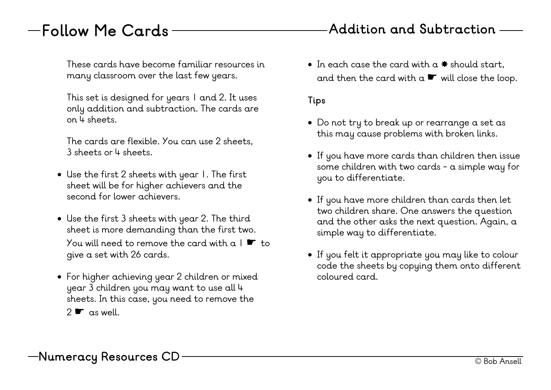### **Follow Me Cards**

These cards have become familiar resources in many classroom over the last few years.

This set is designed for years 1 and 2. It uses only addition and subtraction. The cards are on 4 sheets.

The cards are flexible. You can use 2 sheets, 3 sheets or 4 sheets.

- Use the first 2 sheets with year 1. The first sheet will be for higher achievers and the second for lower achievers.
- Use the first 3 sheets with year 2. The third sheet is more demanding than the first two. You will need to remove the card with a  $1 \cdot$  to give a set with 26 cards.
- For higher achieving year 2 children or mixed year 3 children you may want to use all 4 sheets. In this case, you need to remove the  $2 \cdot \cdot \cdot$  as well.

• In each case the card with  $a$   $\ast$  should start, and then the card with  $a \ll w$  will close the loop.

#### **Tips**

- Do not try to break up or rearrange a set as this may cause problems with broken links.
- If you have more cards than children then issue some children with two cards - a simple way for you to differentiate.
- If you have more children than cards then let two children share. One answers the question and the other asks the next question. Again, a simple way to differentiate.
- If you felt it appropriate you may like to colour code the sheets by copying them onto different coloured card.

### **Addition and Subtraction**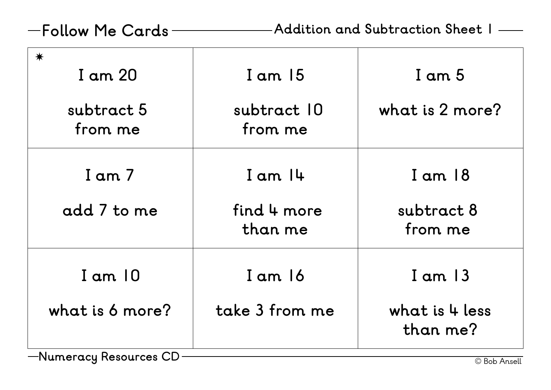**Follow Me Cards Addition and Subtraction Sheet 1**

| $\bigstar$<br>I am 20  | $I$ am $15$            | I am 5                     |
|------------------------|------------------------|----------------------------|
| subtract 5<br>from me  | subtract 10<br>from me | what is 2 more?            |
| I am 7                 | $I$ am $I$ 4           | $I$ am $18$                |
| add 7 to me            | find 4 more<br>than me | subtract 8<br>from me      |
| $I$ am $10$            | $I$ am $16$            | $I$ am $13$                |
| what is 6 more?        | take 3 from me         | what is 4 less<br>than me? |
| $\mathsf{N}$<br>$\cap$ |                        |                            |

—Numeracy Resources CD — **Canadian Construction Construction Construction** C Bob Ansell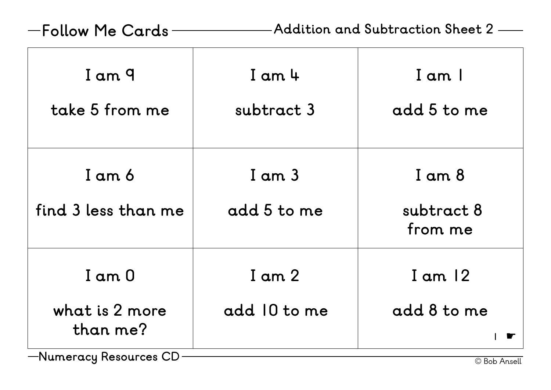# **Follow Me Cards Addition and Subtraction Sheet 2**

| I am 9<br>take 5 from me                 | $I$ am $4$<br>subtract 3   | I am I<br>add 5 to me           |
|------------------------------------------|----------------------------|---------------------------------|
| I am 6<br>find 3 less than me            | $I$ am $3$<br>add 5 to me  | I am 8<br>subtract 8<br>from me |
| $I$ am $O$<br>what is 2 more<br>than me? | $I$ am $2$<br>add 10 to me | $I$ am $12$<br>add 8 to me      |
| —Numeracy Resources CD                   |                            | © Bob Ansell                    |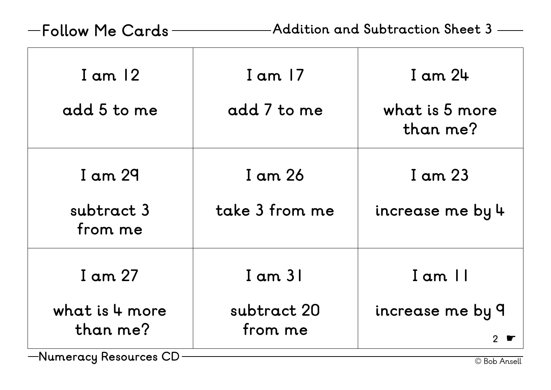**Follow Me Cards Addition and Subtraction Sheet 3**

| $I$ am $12$           | $I$ am $17$    | $I$ am $24$                |
|-----------------------|----------------|----------------------------|
| add 5 to me           | add 7 to me    | what is 5 more<br>than me? |
| I am 29               | I am 26        | I am 23                    |
| subtract 3<br>from me | take 3 from me | increase me by 4           |
| I am 27               | $I$ am $31$    | I am II                    |
| what is 4 more        | subtract 20    | increase me by 9           |
| than me?              | from me        |                            |
| $\cap$                |                |                            |

—Numeracy Resources CD — <del>— — — — — — — — — — — — — — — — — © Bob Ansell</del>